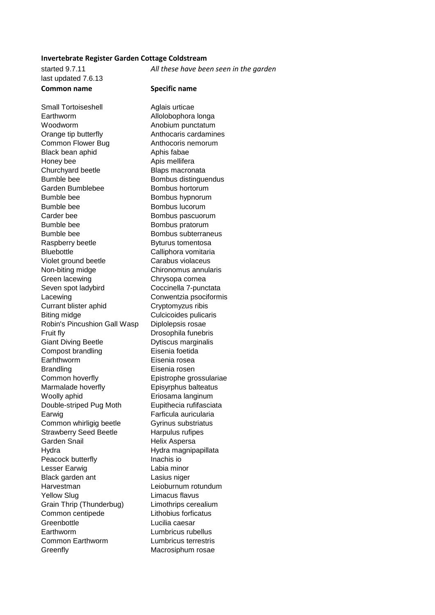## **Invertebrate Register Garden Cottage Coldstream**

started 9.7.11 *All these have been seen in the garden* last updated 7.6.13 **Common name Specific name**

Small Tortoiseshell **Aglais** urticae Earthworm Allolobophora longa Woodworm **Anobium** punctatum Orange tip butterfly **Anthocaris cardamines** Common Flower Bug **Anthocoris** nemorum Black bean aphid Aphis fabae Honey bee Apis mellifera Churchyard beetle Blaps macronata Bumble bee Bombus distinguendus Garden Bumblebee Bombus hortorum Bumble bee Bombus hypnorum Bumble bee Bombus lucorum Carder bee Bombus pascuorum Bumble bee Bombus pratorum Bumble bee Bombus subterraneus Raspberry beetle Byturus tomentosa Bluebottle Calliphora vomitaria Violet ground beetle Carabus violaceus Non-biting midge Chironomus annularis Green lacewing **Chrysopa cornea** Seven spot ladybird Coccinella 7-punctata Lacewing **Conwentzia** psociformis Currant blister aphid Cryptomyzus ribis Biting midge Culcicoides pulicaris Robin's Pincushion Gall Wasp Diplolepsis rosae Fruit fly **Drosophila** funebris Giant Diving Beetle Dytiscus marginalis Compost brandling Eisenia foetida Earhthworm Eisenia rosea Brandling **Eisenia** rosen Common hoverfly Epistrophe grossulariae Marmalade hoverfly Episyrphus balteatus Woolly aphid **E**riosama langinum Double-striped Pug Moth Eupithecia rufifasciata Earwig Farficula auricularia Common whirligig beetle Gyrinus substriatus Strawberry Seed Beetle Harpulus rufipes Garden Snail **Helix Aspersa** Hydra **Hydra Magnipapillata** Peacock butterfly **Inachis io** Lesser Earwig Labia minor Black garden ant Lasius niger Harvestman Leioburnum rotundum Yellow Slug **Limacus** flavus Grain Thrip (Thunderbug) Limothrips cerealium Common centipede Lithobius forficatus Greenbottle **Lucilia** caesar Earthworm Lumbricus rubellus Common Earthworm Lumbricus terrestris Greenfly Macrosiphum rosae